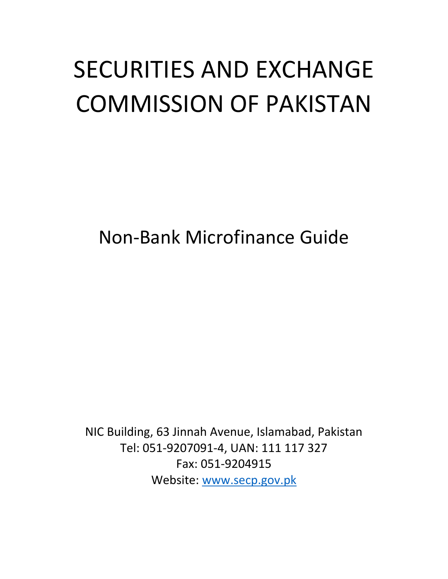# SECURITIES AND EXCHANGE COMMISSION OF PAKISTAN

Non-Bank Microfinance Guide

NIC Building, 63 Jinnah Avenue, Islamabad, Pakistan Tel: 051-9207091-4, UAN: 111 117 327 Fax: 051-9204915 Website: [www.secp.gov.pk](http://www.secp.gov.pk/)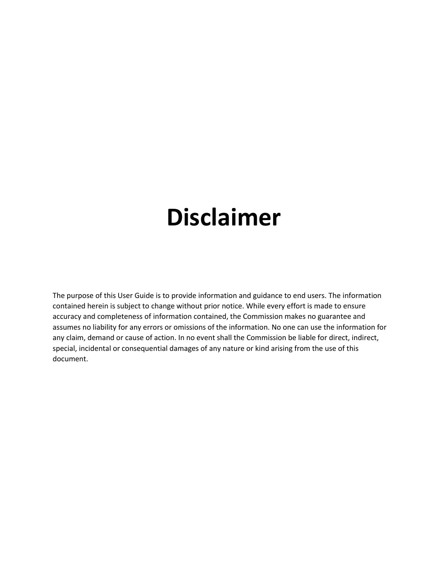## **Disclaimer**

The purpose of this User Guide is to provide information and guidance to end users. The information contained herein is subject to change without prior notice. While every effort is made to ensure accuracy and completeness of information contained, the Commission makes no guarantee and assumes no liability for any errors or omissions of the information. No one can use the information for any claim, demand or cause of action. In no event shall the Commission be liable for direct, indirect, special, incidental or consequential damages of any nature or kind arising from the use of this document.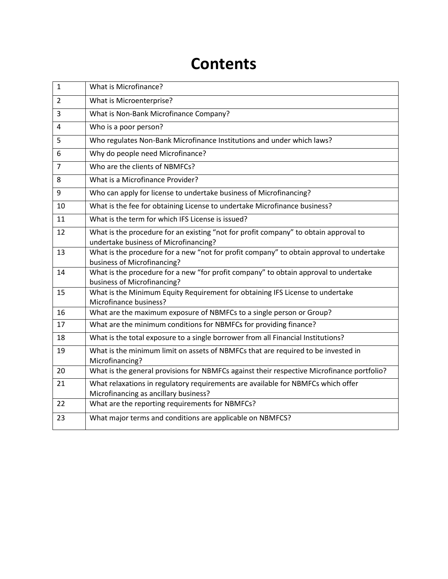### **Contents**

| $\mathbf{1}$   | What is Microfinance?                                                                                               |
|----------------|---------------------------------------------------------------------------------------------------------------------|
| $\overline{2}$ | What is Microenterprise?                                                                                            |
| 3              | What is Non-Bank Microfinance Company?                                                                              |
| 4              | Who is a poor person?                                                                                               |
| 5              | Who regulates Non-Bank Microfinance Institutions and under which laws?                                              |
| 6              | Why do people need Microfinance?                                                                                    |
| $\overline{7}$ | Who are the clients of NBMFCs?                                                                                      |
| 8              | What is a Microfinance Provider?                                                                                    |
| 9              | Who can apply for license to undertake business of Microfinancing?                                                  |
| 10             | What is the fee for obtaining License to undertake Microfinance business?                                           |
| 11             | What is the term for which IFS License is issued?                                                                   |
| 12             | What is the procedure for an existing "not for profit company" to obtain approval to                                |
|                | undertake business of Microfinancing?                                                                               |
| 13             | What is the procedure for a new "not for profit company" to obtain approval to undertake                            |
|                | business of Microfinancing?                                                                                         |
| 14             | What is the procedure for a new "for profit company" to obtain approval to undertake<br>business of Microfinancing? |
| 15             | What is the Minimum Equity Requirement for obtaining IFS License to undertake                                       |
|                | Microfinance business?                                                                                              |
| 16             | What are the maximum exposure of NBMFCs to a single person or Group?                                                |
| 17             | What are the minimum conditions for NBMFCs for providing finance?                                                   |
| 18             | What is the total exposure to a single borrower from all Financial Institutions?                                    |
| 19             | What is the minimum limit on assets of NBMFCs that are required to be invested in                                   |
|                | Microfinancing?                                                                                                     |
| 20             | What is the general provisions for NBMFCs against their respective Microfinance portfolio?                          |
| 21             | What relaxations in regulatory requirements are available for NBMFCs which offer                                    |
|                | Microfinancing as ancillary business?                                                                               |
| 22             | What are the reporting requirements for NBMFCs?                                                                     |
| 23             | What major terms and conditions are applicable on NBMFCS?                                                           |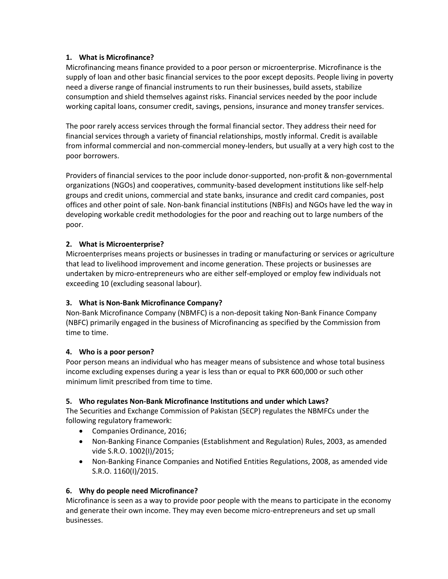#### **1. What is Microfinance?**

Microfinancing means finance provided to a poor person or microenterprise. Microfinance is the supply of loan and other basic financial services to the poor except deposits. People living in poverty need a diverse range of financial instruments to run their businesses, build assets, stabilize consumption and shield themselves against risks. Financial services needed by the poor include working capital loans, consumer credit, savings, pensions, insurance and money transfer services.

The poor rarely access services through the formal financial sector. They address their need for financial services through a variety of financial relationships, mostly informal. Credit is available from informal commercial and non-commercial money-lenders, but usually at a very high cost to the poor borrowers.

Providers of financial services to the poor include donor-supported, non-profit & non-governmental organizations (NGOs) and cooperatives, community-based development institutions like self-help groups and credit unions, commercial and state banks, insurance and credit card companies, post offices and other point of sale. Non-bank financial institutions (NBFIs) and NGOs have led the way in developing workable credit methodologies for the poor and reaching out to large numbers of the poor.

#### **2. What is Microenterprise?**

Microenterprises means projects or businesses in trading or manufacturing or services or agriculture that lead to livelihood improvement and income generation. These projects or businesses are undertaken by micro-entrepreneurs who are either self-employed or employ few individuals not exceeding 10 (excluding seasonal labour).

#### **3. What is Non-Bank Microfinance Company?**

Non-Bank Microfinance Company (NBMFC) is a non-deposit taking Non-Bank Finance Company (NBFC) primarily engaged in the business of Microfinancing as specified by the Commission from time to time.

#### **4. Who is a poor person?**

Poor person means an individual who has meager means of subsistence and whose total business income excluding expenses during a year is less than or equal to PKR 600,000 or such other minimum limit prescribed from time to time.

#### **5. Who regulates Non-Bank Microfinance Institutions and under which Laws?**

The Securities and Exchange Commission of Pakistan (SECP) regulates the NBMFCs under the following regulatory framework:

- Companies Ordinance, 2016;
- Non-Banking Finance Companies (Establishment and Regulation) Rules, 2003, as amended vide S.R.O. 1002(I)/2015;
- Non-Banking Finance Companies and Notified Entities Regulations, 2008, as amended vide S.R.O. 1160(I)/2015.

#### **6. Why do people need Microfinance?**

Microfinance is seen as a way to provide poor people with the means to participate in the economy and generate their own income. They may even become micro-entrepreneurs and set up small businesses.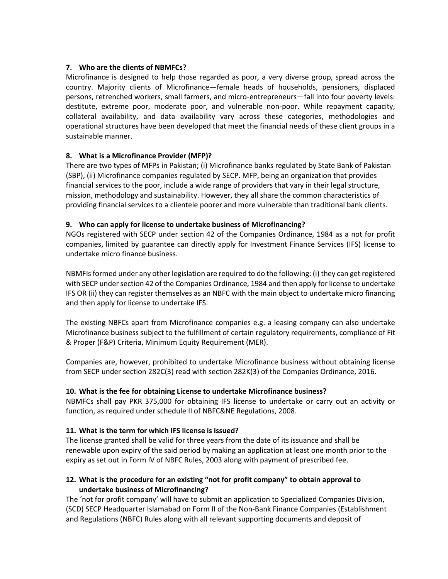#### **7. [Who are the clients](javascript:void(0);) of NBMFCs?**

Microfinance is designed to help those regarded as poor, a very diverse group, spread across the country. Majority clients of Microfinance—female heads of households, pensioners, displaced persons, retrenched workers, small farmers, and micro-entrepreneurs—fall into four poverty levels: destitute, extreme poor, moderate poor, and vulnerable non-poor. While repayment capacity, collateral availability, and data availability vary across these categories, methodologies and operational structures have been developed that meet the financial needs of these client groups in a sustainable manner.

#### **8. What is a Microfinance Provider (MFP)?**

There are two types of MFPs in Pakistan; (i) Microfinance banks regulated by State Bank of Pakistan (SBP), (ii) Microfinance companies regulated by SECP. MFP, being an organization that provides financial services to the poor, include a wide range of providers that vary in their legal structure, mission, methodology and sustainability. However, they all share the common characteristics of providing financial services to a clientele poorer and more vulnerable than traditional bank clients.

#### **9. Who can apply for license to undertake business of Microfinancing?**

NGOs registered with SECP under section 42 of the Companies Ordinance, 1984 as a not for profit companies, limited by guarantee can directly apply for Investment Finance Services (IFS) license to undertake micro finance business.

NBMFIs formed under any other legislation are required to do the following: (i) they can get registered with SECP under section 42 of the Companies Ordinance, 1984 and then apply for license to undertake IFS OR (ii) they can register themselves as an NBFC with the main object to undertake micro financing and then apply for license to undertake IFS.

The existing NBFCs apart from Microfinance companies e.g. a leasing company can also undertake Microfinance business subject to the fulfillment of certain regulatory requirements, compliance of Fit & Proper (F&P) Criteria, Minimum Equity Requirement (MER).

Companies are, however, prohibited to undertake Microfinance business without obtaining license from SECP under section 282C(3) read with section 282K(3) of the Companies Ordinance, 2016.

#### **10. What is the fee for obtaining License to undertake Microfinance business?**

NBMFCs shall pay PKR 375,000 for obtaining IFS license to undertake or carry out an activity or function, as required under schedule II of NBFC&NE Regulations, 2008.

#### **11. What is the term for which IFS license is issued?**

The license granted shall be valid for three years from the date of its issuance and shall be renewable upon expiry of the said period by making an application at least one month prior to the expiry as set out in Form IV of NBFC Rules, 2003 along with payment of prescribed fee.

#### **12. What is the procedure for an existing "not for profit company" to obtain approval to undertake business of Microfinancing?**

The 'not for profit company' will have to submit an application to Specialized Companies Division, (SCD) SECP Headquarter Islamabad on Form II of the Non-Bank Finance Companies (Establishment and Regulations (NBFC) Rules along with all relevant supporting documents and deposit of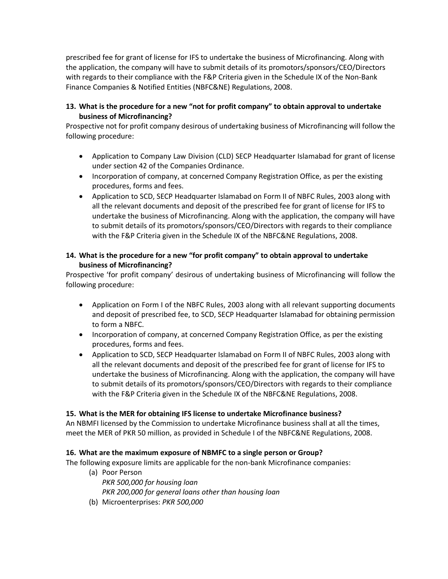prescribed fee for grant of license for IFS to undertake the business of Microfinancing. Along with the application, the company will have to submit details of its promotors/sponsors/CEO/Directors with regards to their compliance with the F&P Criteria given in the Schedule IX of the Non-Bank Finance Companies & Notified Entities (NBFC&NE) Regulations, 2008.

#### **13. What is the procedure for a new "not for profit company" to obtain approval to undertake business of Microfinancing?**

Prospective not for profit company desirous of undertaking business of Microfinancing will follow the following procedure:

- Application to Company Law Division (CLD) SECP Headquarter Islamabad for grant of license under section 42 of the Companies Ordinance.
- Incorporation of company, at concerned Company Registration Office, as per the existing procedures, forms and fees.
- Application to SCD, SECP Headquarter Islamabad on Form II of NBFC Rules, 2003 along with all the relevant documents and deposit of the prescribed fee for grant of license for IFS to undertake the business of Microfinancing. Along with the application, the company will have to submit details of its promotors/sponsors/CEO/Directors with regards to their compliance with the F&P Criteria given in the Schedule IX of the NBFC&NE Regulations, 2008.

#### **14. What is the procedure for a new "for profit company" to obtain approval to undertake business of Microfinancing?**

Prospective 'for profit company' desirous of undertaking business of Microfinancing will follow the following procedure:

- Application on Form I of the NBFC Rules, 2003 along with all relevant supporting documents and deposit of prescribed fee, to SCD, SECP Headquarter Islamabad for obtaining permission to form a NBFC.
- Incorporation of company, at concerned Company Registration Office, as per the existing procedures, forms and fees.
- Application to SCD, SECP Headquarter Islamabad on Form II of NBFC Rules, 2003 along with all the relevant documents and deposit of the prescribed fee for grant of license for IFS to undertake the business of Microfinancing. Along with the application, the company will have to submit details of its promotors/sponsors/CEO/Directors with regards to their compliance with the F&P Criteria given in the Schedule IX of the NBFC&NE Regulations, 2008.

#### **15. What is the MER for obtaining IFS license to undertake Microfinance business?**

An NBMFI licensed by the Commission to undertake Microfinance business shall at all the times, meet the MER of PKR 50 million, as provided in Schedule I of the NBFC&NE Regulations, 2008.

#### **16. What are the maximum exposure of NBMFC to a single person or Group?**

The following exposure limits are applicable for the non-bank Microfinance companies:

- (a) Poor Person *PKR 500,000 for housing loan PKR 200,000 for general loans other than housing loan*
- (b) Microenterprises: *PKR 500,000*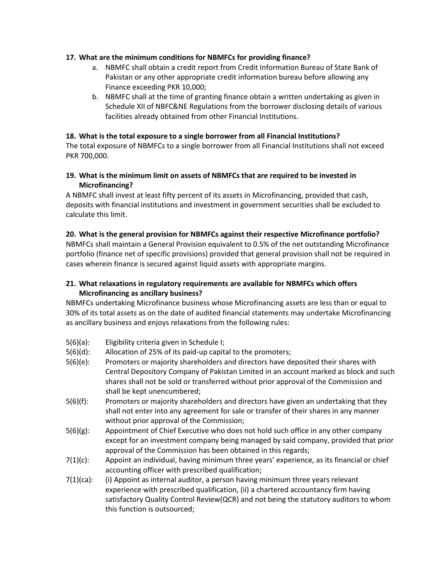#### **17. What are the minimum conditions for NBMFCs for providing finance?**

- a. NBMFC shall obtain a credit report from Credit Information Bureau of State Bank of Pakistan or any other appropriate credit information bureau before allowing any Finance exceeding PKR 10,000;
- b. NBMFC shall at the time of granting finance obtain a written undertaking as given in Schedule XII of NBFC&NE Regulations from the borrower disclosing details of various facilities already obtained from other Financial Institutions.

#### **18. What is the total exposure to a single borrower from all Financial Institutions?**

The total exposure of NBMFCs to a single borrower from all Financial Institutions shall not exceed PKR 700,000.

#### **19. What is the minimum limit on assets of NBMFCs that are required to be invested in Microfinancing?**

A NBMFC shall invest at least fifty percent of its assets in Microfinancing, provided that cash, deposits with financial institutions and investment in government securities shall be excluded to calculate this limit.

#### **20. What is the general provision for NBMFCs against their respective Microfinance portfolio?**

NBMFCs shall maintain a General Provision equivalent to 0.5% of the net outstanding Microfinance portfolio (finance net of specific provisions) provided that general provision shall not be required in cases wherein finance is secured against liquid assets with appropriate margins.

#### **21. What relaxations in regulatory requirements are available for NBMFCs which offers Microfinancing as ancillary business?**

NBMFCs undertaking Microfinance business whose Microfinancing assets are less than or equal to 30% of its total assets as on the date of audited financial statements may undertake Microfinancing as ancillary business and enjoys relaxations from the following rules:

- 5(6)(a): Eligibility criteria given in Schedule I;
- 5(6)(d): Allocation of 25% of its paid-up capital to the promoters;
- 5(6)(e): Promoters or majority shareholders and directors have deposited their shares with Central Depository Company of Pakistan Limited in an account marked as block and such shares shall not be sold or transferred without prior approval of the Commission and shall be kept unencumbered;
- 5(6)(f): Promoters or majority shareholders and directors have given an undertaking that they shall not enter into any agreement for sale or transfer of their shares in any manner without prior approval of the Commission;
- 5(6)(g): Appointment of Chief Executive who does not hold such office in any other company except for an investment company being managed by said company, provided that prior approval of the Commission has been obtained in this regards;
- 7(1)(c): Appoint an individual, having minimum three years' experience, as its financial or chief accounting officer with prescribed qualification;
- 7(1)(ca): (i) Appoint as internal auditor, a person having minimum three years relevant experience with prescribed qualification, (ii) a chartered accountancy firm having satisfactory Quality Control Review(QCR) and not being the statutory auditors to whom this function is outsourced;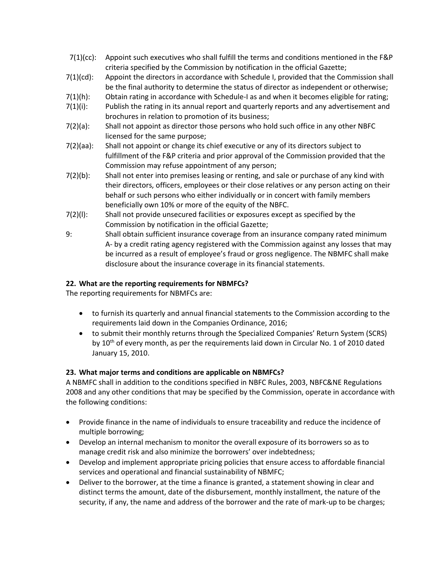- 7(1)(cc): Appoint such executives who shall fulfill the terms and conditions mentioned in the F&P criteria specified by the Commission by notification in the official Gazette;
- 7(1)(cd): Appoint the directors in accordance with Schedule I, provided that the Commission shall be the final authority to determine the status of director as independent or otherwise;
- 7(1)(h): Obtain rating in accordance with Schedule-I as and when it becomes eligible for rating;
- 7(1)(i): Publish the rating in its annual report and quarterly reports and any advertisement and brochures in relation to promotion of its business;
- 7(2)(a): Shall not appoint as director those persons who hold such office in any other NBFC licensed for the same purpose;
- 7(2)(aa): Shall not appoint or change its chief executive or any of its directors subject to fulfillment of the F&P criteria and prior approval of the Commission provided that the Commission may refuse appointment of any person;
- 7(2)(b): Shall not enter into premises leasing or renting, and sale or purchase of any kind with their directors, officers, employees or their close relatives or any person acting on their behalf or such persons who either individually or in concert with family members beneficially own 10% or more of the equity of the NBFC.
- 7(2)(l): Shall not provide unsecured facilities or exposures except as specified by the Commission by notification in the official Gazette;
- 9: Shall obtain sufficient insurance coverage from an insurance company rated minimum A- by a credit rating agency registered with the Commission against any losses that may be incurred as a result of employee's fraud or gross negligence. The NBMFC shall make disclosure about the insurance coverage in its financial statements.

#### **22. What are the reporting requirements for NBMFCs?**

The reporting requirements for NBMFCs are:

- to furnish its quarterly and annual financial statements to the Commission according to the requirements laid down in the Companies Ordinance, 2016;
- to submit their monthly returns through the Specialized Companies' Return System (SCRS) by  $10<sup>th</sup>$  of every month, as per the requirements laid down in Circular No. 1 of 2010 dated January 15, 2010.

#### **23. What major terms and conditions are applicable on NBMFCs?**

A NBMFC shall in addition to the conditions specified in NBFC Rules, 2003, NBFC&NE Regulations 2008 and any other conditions that may be specified by the Commission, operate in accordance with the following conditions:

- Provide finance in the name of individuals to ensure traceability and reduce the incidence of multiple borrowing;
- Develop an internal mechanism to monitor the overall exposure of its borrowers so as to manage credit risk and also minimize the borrowers' over indebtedness;
- Develop and implement appropriate pricing policies that ensure access to affordable financial services and operational and financial sustainability of NBMFC;
- Deliver to the borrower, at the time a finance is granted, a statement showing in clear and distinct terms the amount, date of the disbursement, monthly installment, the nature of the security, if any, the name and address of the borrower and the rate of mark-up to be charges;